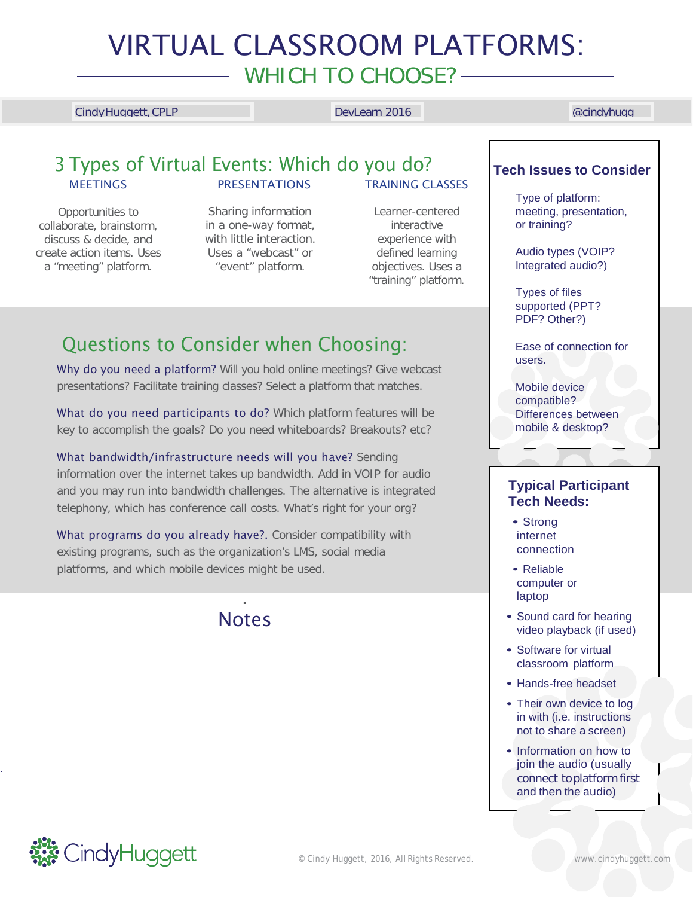# VIRTUAL CLASSROOM PLATFORMS: WHICH TO CHOOSE? -

### CindyHuggett,CPLP DevLearn 2016 @cindyhugg

### 3 Types of Virtual Events: Which do you do? **Tech Issues to Consider MEETINGS** PRESENTATIONS

Opportunities to collaborate, brainstorm, discuss & decide, and create action items. Uses a "meeting" platform.

Sharing information in a one-way format, with little interaction. Uses a "webcast" or "event" platform.

# TRAINING CLASSES

Learner-centered interactive experience with defined learning objectives. Uses a "training" platform.

## Questions to Consider when Choosing:

Why do you need a platform? Will you hold online meetings? Give webcast presentations? Facilitate training classes? Select a platform that matches.

What do you need participants to do? Which platform features will be key to accomplish the goals? Do you need whiteboards? Breakouts? etc?

What bandwidth/infrastructure needs will you have? Sending information over the internet takes up bandwidth. Add in VOIP for audio and you may run into bandwidth challenges. The alternative is integrated telephony, which has conference call costs. What's right for your org?

What programs do you already have?. Consider compatibility with existing programs, such as the organization's LMS, social media platforms, and which mobile devices might be used.

## **Notes**

.

Type of platform: meeting, presentation, or training?

Audio types (VOIP? Integrated audio?)

Types of files supported (PPT? PDF? Other?)

Ease of connection for users.

Mobile device compatible? Differences between mobile & desktop?

## **Typical Participant Tech Needs:**

- Strong internet connection
- Reliable computer or laptop
- Sound card for hearing video playback (if used)
- Software for virtual classroom platform
- Hands-free headset
- Their own device to log in with (i.e. instructions not to share a screen)
- Information on how to join the audio (usually connect toplatform first and then the audio)



.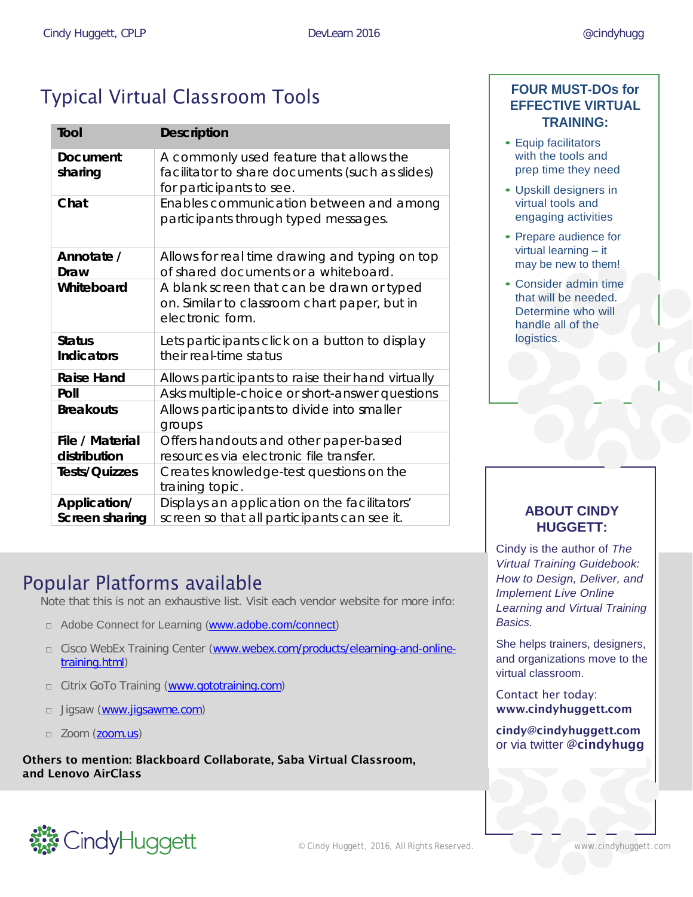# Typical Virtual Classroom Tools

| <b>Tool</b>                        | <b>Description</b>                                                                                                     |
|------------------------------------|------------------------------------------------------------------------------------------------------------------------|
| <b>Document</b><br>sharing         | A commonly used feature that allows the<br>facilitator to share documents (such as slides)<br>for participants to see. |
| Chat                               | Enables communication between and among<br>participants through typed messages.                                        |
| Annotate /<br>Draw                 | Allows for real time drawing and typing on top<br>of shared documents or a whiteboard.                                 |
| Whiteboard                         | A blank screen that can be drawn or typed<br>on. Similar to classroom chart paper, but in<br>electronic form.          |
| <b>Status</b><br><b>Indicators</b> | Lets participants click on a button to display<br>their real-time status                                               |
| <b>Raise Hand</b>                  | Allows participants to raise their hand virtually                                                                      |
| Poll                               | Asks multiple-choice or short-answer questions                                                                         |
| <b>Breakouts</b>                   | Allows participants to divide into smaller<br>groups                                                                   |
| File / Material<br>distribution    | Offers handouts and other paper-based<br>resources via electronic file transfer.                                       |
| <b>Tests/Quizzes</b>               | Creates knowledge-test questions on the<br>training topic.                                                             |
| Application/<br>Screen sharing     | Displays an application on the facilitators'<br>screen so that all participants can see it.                            |

## Popular Platforms available

Note that this is not an exhaustive list. Visit each vendor website for more info:

- □ Adobe Connect for Learning [\(www.adobe.com/connect\)](http://www.adobe.com/connect)
- □ Cisco WebEx Training Center [\(www.webex.com/products/elearning-and-online](http://www.webex.com/products/elearning-and-online-training.html)[training.html\)](http://www.webex.com/products/elearning-and-online-training.html)
- □ Citrix GoTo Training [\(www.gototraining.com\)](http://www.gototraining.com/)
- □ Jigsaw [\(www.jigsawme.com\)](http://www.jigsawme.com/)
- □ Zoom (zoom.us)

Others to mention: Blackboard Collaborate, Saba Virtual Classroom, and Lenovo AirClass



- Equip facilitators with the tools and prep time they need
- Upskill designers in virtual tools and engaging activities
- Prepare audience for virtual learning – it may be new to them!
- Consider admin time that will be needed. Determine who will handle all of the logistics.

## **ABOUT CINDY HUGGETT:**

Cindy is the author of *The Virtual Training Guidebook: How to Design, Deliver, and Implement Live Online Learning and Virtual Training Basics.*

She helps trainers, designers, and organizations move to the virtual classroom.

Contact her today: [www.cindyhuggett.com](http://www.cindyhuggett.com/)

[cindy@cindyhuggett.com](mailto:cindy@cindyhuggett.com) or via twitter @cindyhugg